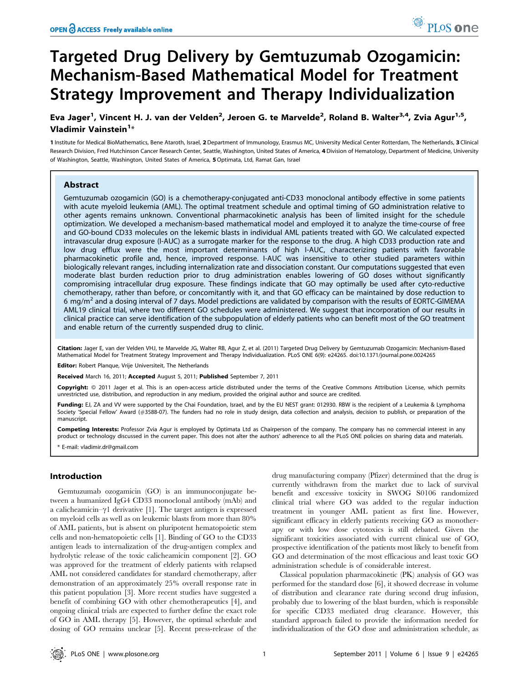# Targeted Drug Delivery by Gemtuzumab Ozogamicin: Mechanism-Based Mathematical Model for Treatment Strategy Improvement and Therapy Individualization

Eva Jager<sup>1</sup>, Vincent H. J. van der Velden<sup>2</sup>, Jeroen G. te Marvelde<sup>2</sup>, Roland B. Walter<sup>3,4</sup>, Zvia Agur<sup>1,5</sup>, Vladimir Vainstein<sup>1</sup>\*

1 Institute for Medical BioMathematics, Bene Ataroth, Israel, 2 Department of Immunology, Erasmus MC, University Medical Center Rotterdam, The Netherlands, 3 Clinical Research Division, Fred Hutchinson Cancer Research Center, Seattle, Washington, United States of America, 4 Division of Hematology, Department of Medicine, University of Washington, Seattle, Washington, United States of America, 5Optimata, Ltd, Ramat Gan, Israel

## Abstract

Gemtuzumab ozogamicin (GO) is a chemotherapy-conjugated anti-CD33 monoclonal antibody effective in some patients with acute myeloid leukemia (AML). The optimal treatment schedule and optimal timing of GO administration relative to other agents remains unknown. Conventional pharmacokinetic analysis has been of limited insight for the schedule optimization. We developed a mechanism-based mathematical model and employed it to analyze the time-course of free and GO-bound CD33 molecules on the lekemic blasts in individual AML patients treated with GO. We calculated expected intravascular drug exposure (I-AUC) as a surrogate marker for the response to the drug. A high CD33 production rate and low drug efflux were the most important determinants of high I-AUC, characterizing patients with favorable pharmacokinetic profile and, hence, improved response. I-AUC was insensitive to other studied parameters within biologically relevant ranges, including internalization rate and dissociation constant. Our computations suggested that even moderate blast burden reduction prior to drug administration enables lowering of GO doses without significantly compromising intracellular drug exposure. These findings indicate that GO may optimally be used after cyto-reductive chemotherapy, rather than before, or concomitantly with it, and that GO efficacy can be maintained by dose reduction to 6 mg/m<sup>2</sup> and a dosing interval of 7 days. Model predictions are validated by comparison with the results of EORTC-GIMEMA AML19 clinical trial, where two different GO schedules were administered. We suggest that incorporation of our results in clinical practice can serve identification of the subpopulation of elderly patients who can benefit most of the GO treatment and enable return of the currently suspended drug to clinic.

Citation: Jager E, van der Velden VHJ, te Marvelde JG, Walter RB, Agur Z, et al. (2011) Targeted Drug Delivery by Gemtuzumab Ozogamicin: Mechanism-Based Mathematical Model for Treatment Strategy Improvement and Therapy Individualization. PLoS ONE 6(9): e24265. doi:10.1371/journal.pone.0024265

Editor: Robert Planque, Vrije Universiteit, The Netherlands

Received March 16, 2011; Accepted August 5, 2011; Published September 7, 2011

Copyright: © 2011 Jager et al. This is an open-access article distributed under the terms of the Creative Commons Attribution License, which permits unrestricted use, distribution, and reproduction in any medium, provided the original author and source are credited.

Funding: EJ, ZA and VV were supported by the Chai Foundation, Israel, and by the EU NEST grant: 012930. RBW is the recipient of a Leukemia & Lymphoma Society 'Special Fellow' Award (#3588-07). The funders had no role in study design, data collection and analysis, decision to publish, or preparation of the manuscript.

Competing Interests: Professor Zvia Agur is employed by Optimata Ltd as Chairperson of the company. The company has no commercial interest in any product or technology discussed in the current paper. This does not alter the authors' adherence to all the PLoS ONE policies on sharing data and materials.

\* E-mail: vladimir.dr@gmail.com

# Introduction

Gemtuzumab ozogamicin (GO) is an immunoconjugate between a humanized IgG4 CD33 monoclonal antibody (mAb) and a calicheamicin– $\gamma$ 1 derivative [1]. The target antigen is expressed on myeloid cells as well as on leukemic blasts from more than 80% of AML patients, but is absent on pluripotent hematopoietic stem cells and non-hematopoietic cells [1]. Binding of GO to the CD33 antigen leads to internalization of the drug-antigen complex and hydrolytic release of the toxic calicheamicin component [2]. GO was approved for the treatment of elderly patients with relapsed AML not considered candidates for standard chemotherapy, after demonstration of an approximately 25% overall response rate in this patient population [3]. More recent studies have suggested a benefit of combining GO with other chemotherapeutics [4], and ongoing clinical trials are expected to further define the exact role of GO in AML therapy [5]. However, the optimal schedule and dosing of GO remains unclear [5]. Recent press-release of the

drug manufacturing company (Pfizer) determined that the drug is currently withdrawn from the market due to lack of survival benefit and excessive toxicity in SWOG S0106 randomized clinical trial where GO was added to the regular induction treatment in younger AML patient as first line. However, significant efficacy in elderly patients receiving GO as monotherapy or with low dose cytotoxics is still debated. Given the significant toxicities associated with current clinical use of GO, prospective identification of the patients most likely to benefit from GO and determination of the most efficacious and least toxic GO administration schedule is of considerable interest.

Classical population pharmacokinetic (PK) analysis of GO was performed for the standard dose [6], it showed decrease in volume of distribution and clearance rate during second drug infusion, probably due to lowering of the blast burden, which is responsible for specific CD33 mediated drug clearance. However, this standard approach failed to provide the information needed for individualization of the GO dose and administration schedule, as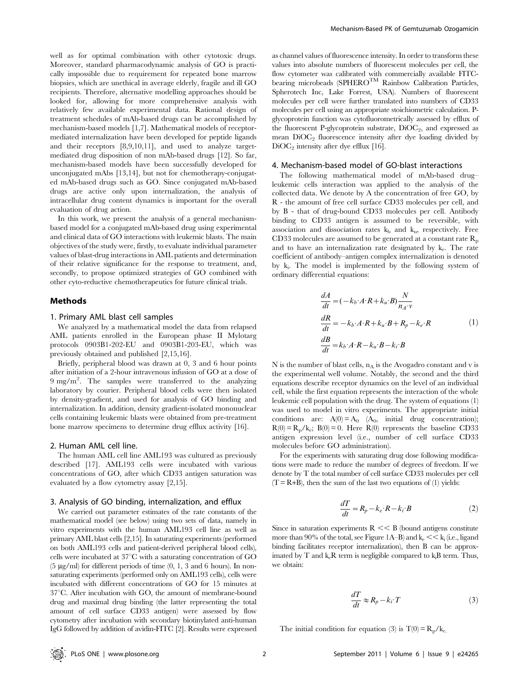well as for optimal combination with other cytotoxic drugs. Moreover, standard pharmacodynamic analysis of GO is practically impossible due to requirement for repeated bone marrow biopsies, which are unethical in average elderly, fragile and ill GO recipients. Therefore, alternative modelling approaches should be looked for, allowing for more comprehensive analysis with relatively few available experimental data. Rational design of treatment schedules of mAb-based drugs can be accomplished by mechanism-based models [1,7]. Mathematical models of receptormediated internalization have been developed for peptide ligands and their receptors [8,9,10,11], and used to analyze targetmediated drug disposition of non mAb-based drugs [12]. So far, mechanism-based models have been successfully developed for unconjugated mAbs [13,14], but not for chemotherapy-conjugated mAb-based drugs such as GO. Since conjugated mAb-based drugs are active only upon internalization, the analysis of intracellular drug content dynamics is important for the overall evaluation of drug action.

In this work, we present the analysis of a general mechanismbased model for a conjugated mAb-based drug using experimental and clinical data of GO interactions with leukemic blasts. The main objectives of the study were, firstly, to evaluate individual parameter values of blast-drug interactions in AML patients and determination of their relative significance for the response to treatment, and, secondly, to propose optimized strategies of GO combined with other cyto-reductive chemotherapeutics for future clinical trials.

## Methods

#### 1. Primary AML blast cell samples

We analyzed by a mathematical model the data from relapsed AML patients enrolled in the European phase II Mylotarg protocols 0903B1-202-EU and 0903B1-203-EU, which was previously obtained and published [2,15,16].

Briefly, peripheral blood was drawn at 0, 3 and 6 hour points after initiation of a 2-hour intravenous infusion of GO at a dose of 9 mg/m<sup>2</sup>. The samples were transferred to the analyzing laboratory by courier. Peripheral blood cells were then isolated by density-gradient, and used for analysis of GO binding and internalization. In addition, density gradient-isolated mononuclear cells containing leukemic blasts were obtained from pre-treatment bone marrow specimens to determine drug efflux activity [16].

#### 2. Human AML cell line.

The human AML cell line AML193 was cultured as previously described [17]. AML193 cells were incubated with various concentrations of GO, after which CD33 antigen saturation was evaluated by a flow cytometry assay [2,15].

#### 3. Analysis of GO binding, internalization, and efflux

We carried out parameter estimates of the rate constants of the mathematical model (see below) using two sets of data, namely in vitro experiments with the human AML193 cell line as well as primary AML blast cells [2,15]. In saturating experiments (performed on both AML193 cells and patient-derived peripheral blood cells), cells were incubated at  $37^{\circ}$ C with a saturating concentration of GO  $(5 \mu g/ml)$  for different periods of time  $(0, 1, 3 \text{ and } 6 \text{ hours})$ . In nonsaturating experiments (performed only on AML193 cells), cells were incubated with different concentrations of GO for 15 minutes at  $37^{\circ}$ C. After incubation with GO, the amount of membrane-bound drug and maximal drug binding (the latter representing the total amount of cell surface CD33 antigen) were assessed by flow cytometry after incubation with secondary biotinylated anti-human IgG followed by addition of avidin-FITC [2]. Results were expressed as channel values of fluorescence intensity. In order to transform these values into absolute numbers of fluorescent molecules per cell, the flow cytometer was calibrated with commercially available FITCbearing microbeads (SPHERO<sup>TM</sup> Rainbow Calibration Particles, Spherotech Inc, Lake Forrest, USA). Numbers of fluorescent molecules per cell were further translated into numbers of CD33 molecules per cell using an appropriate stoichiometric calculation. Pglycoprotein function was cytofluorometrically assessed by efflux of the fluorescent P-glycoprotein substrate,  $DiOC<sub>2</sub>$ , and expressed as mean  $DiOC<sub>2</sub>$  fluorescence intensity after dye loading divided by  $DiOC<sub>2</sub>$  intensity after dye efflux [16].

#### 4. Mechanism-based model of GO-blast interactions

The following mathematical model of mAb-based drug– leukemic cells interaction was applied to the analysis of the collected data. We denote by A the concentration of free GO, by R - the amount of free cell surface CD33 molecules per cell, and by B - that of drug-bound CD33 molecules per cell. Antibody binding to CD33 antigen is assumed to be reversible, with association and dissociation rates  $k_b$  and  $k_u$ , respectively. Free CD33 molecules are assumed to be generated at a constant rate  $R_p$ and to have an internalization rate designated by  $k_e$ . The rate coefficient of antibody–antigen complex internalization is denoted by  $k_i$ . The model is implemented by the following system of ordinary differential equations:

$$
\frac{dA}{dt} = (-k_b \cdot A \cdot R + k_u \cdot B) \frac{N}{n_A \cdot v}
$$
\n
$$
\frac{dR}{dt} = -k_b \cdot A \cdot R + k_u \cdot B + R_p - k_e \cdot R
$$
\n
$$
\frac{dB}{dt} = k_b \cdot A \cdot R - k_u \cdot B - k_i \cdot B
$$
\n(1)

N is the number of blast cells,  $n_A$  is the Avogadro constant and v is the experimental well volume. Notably, the second and the third equations describe receptor dynamics on the level of an individual cell, while the first equation represents the interaction of the whole leukemic cell population with the drug. The system of equations (1) was used to model in vitro experiments. The appropriate initial conditions are:  $A(0) = A_0$  (A<sub>0</sub>, initial drug concentration);  $R(0) = R_p/k_e$ ;  $B(0) = 0$ . Here  $R(0)$  represents the baseline CD33 antigen expression level (i.e., number of cell surface CD33 molecules before GO administration).

For the experiments with saturating drug dose following modifications were made to reduce the number of degrees of freedom. If we denote by T the total number of cell surface CD33 molecules per cell  $(T = R + B)$ , then the sum of the last two equations of (1) yields:

$$
\frac{dT}{dt} = R_p - k_e \cdot R - k_i \cdot B \tag{2}
$$

Since in saturation experiments  $R \ll B$  (bound antigens constitute more than 90% of the total, see Figure 1A–B) and  $k_e \ll k_i$  (i.e., ligand binding facilitates receptor internalization), then B can be approximated by T and  $k_eR$  term is negligible compared to  $k_iB$  term. Thus, we obtain:

$$
\frac{dT}{dt} \approx R_p - k_i \cdot T \tag{3}
$$

The initial condition for equation (3) is  $T(0) = R_p/k_e$ .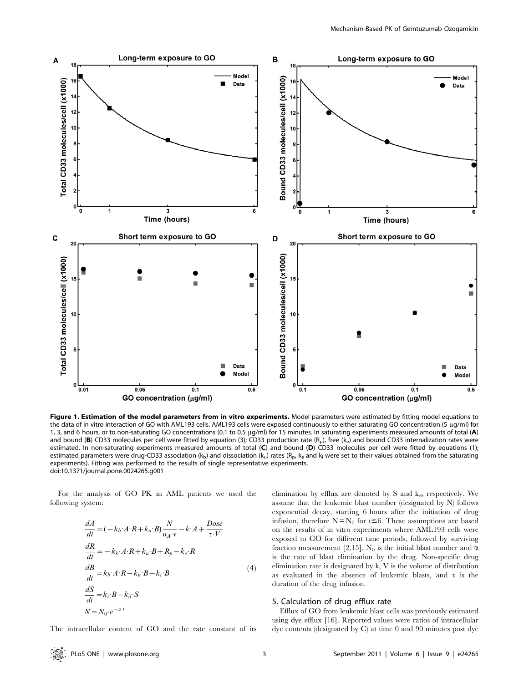

Figure 1. Estimation of the model parameters from in vitro experiments. Model parameters were estimated by fitting model equations to the data of in vitro interaction of GO with AML193 cells. AML193 cells were exposed continuously to either saturating GO concentration (5 µg/ml) for 1, 3, and 6 hours, or to non-saturating GO concentrations (0.1 to 0.5 µg/ml) for 15 minutes. In saturating experiments measured amounts of total (A) and bound (B) CD33 molecules per cell were fitted by equation (3); CD33 production rate (R<sub>p</sub>), free (k<sub>e</sub>) and bound CD33 internalization rates were estimated. In non-saturating experiments measured amounts of total (C) and bound (D) CD33 molecules per cell were fitted by equations (1); estimated parameters were drug-CD33 association (k<sub>b</sub>) and dissociation (k<sub>u</sub>) rates (R<sub>p</sub>, k<sub>e</sub> and k<sub>i</sub> were set to their values obtained from the saturating experiments). Fitting was performed to the results of single representative experiments. doi:10.1371/journal.pone.0024265.g001

For the analysis of GO PK in AML patients we used the following system:

$$
\frac{dA}{dt} = (-k_b \cdot A \cdot R + k_u \cdot B) \frac{N}{n_A \cdot v} - k \cdot A + \frac{Dose}{\tau \cdot V}
$$
\n
$$
\frac{dR}{dt} = -k_b \cdot A \cdot R + k_u \cdot B + R_p - k_e \cdot R
$$
\n
$$
\frac{dB}{dt} = k_b \cdot A \cdot R - k_u \cdot B - k_i \cdot B
$$
\n
$$
\frac{dS}{dt} = k_i \cdot B - k_d \cdot S
$$
\n
$$
N = N_0 \cdot e^{-\alpha \cdot t}
$$
\n(4)

The intracellular content of GO and the rate constant of its

elimination by efflux are denoted by S and  $k_d$ , respectively. We assume that the leukemic blast number (designated by N) follows exponential decay, starting 6 hours after the initiation of drug infusion, therefore  $N = N_0$  for t $\leq 6$ . These assumptions are based on the results of in vitro experiments where AML193 cells were exposed to GO for different time periods, followed by surviving fraction measurement [2,15]. N<sub>0</sub> is the initial blast number and  $\alpha$ is the rate of blast elimination by the drug. Non-specific drug elimination rate is designated by k, V is the volume of distribution as evaluated in the absence of leukemic blasts, and  $\tau$  is the duration of the drug infusion.

## 5. Calculation of drug efflux rate

Efflux of GO from leukemic blast cells was previously estimated using dye efflux [16]. Reported values were ratios of intracellular dye contents (designated by C) at time 0 and 90 minutes post dye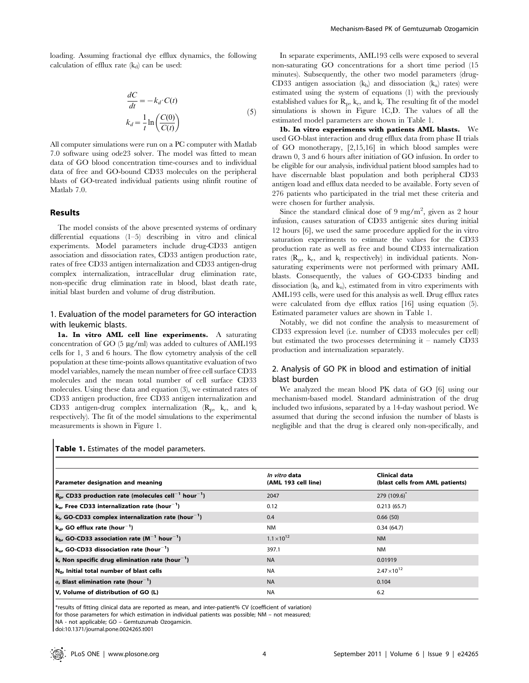loading. Assuming fractional dye efflux dynamics, the following calculation of efflux rate  $(k_d)$  can be used:

$$
\frac{dC}{dt} = -k_d \cdot C(t)
$$
  
\n
$$
k_d = \frac{1}{t} \ln \left( \frac{C(0)}{C(t)} \right)
$$
\n(5)

All computer simulations were run on a PC computer with Matlab 7.0 software using ode23 solver. The model was fitted to mean data of GO blood concentration time-courses and to individual data of free and GO-bound CD33 molecules on the peripheral blasts of GO-treated individual patients using nlinfit routine of Matlab 7.0.

## Results

The model consists of the above presented systems of ordinary differential equations (1–5) describing in vitro and clinical experiments. Model parameters include drug-CD33 antigen association and dissociation rates, CD33 antigen production rate, rates of free CD33 antigen internalization and CD33 antigen-drug complex internalization, intracellular drug elimination rate, non-specific drug elimination rate in blood, blast death rate, initial blast burden and volume of drug distribution.

# 1. Evaluation of the model parameters for GO interaction with leukemic blasts.

1a. In vitro AML cell line experiments. A saturating concentration of GO  $(5 \mu g/ml)$  was added to cultures of AML193 cells for 1, 3 and 6 hours. The flow cytometry analysis of the cell population at these time-points allows quantitative evaluation of two model variables, namely the mean number of free cell surface CD33 molecules and the mean total number of cell surface CD33 molecules. Using these data and equation (3), we estimated rates of CD33 antigen production, free CD33 antigen internalization and CD33 antigen-drug complex internalization  $(R_p, k_e,$  and  $k_i$ respectively). The fit of the model simulations to the experimental measurements is shown in Figure 1.

Table 1. Estimates of the model parameters.

In separate experiments, AML193 cells were exposed to several non-saturating GO concentrations for a short time period (15 minutes). Subsequently, the other two model parameters (drug-CD33 antigen association  $(k_b)$  and dissociation  $(k_u)$  rates) were estimated using the system of equations (1) with the previously established values for  $R_p$ ,  $k_e$ , and  $k_i$ . The resulting fit of the model simulations is shown in Figure 1C,D. The values of all the estimated model parameters are shown in Table 1.

1b. In vitro experiments with patients AML blasts. We used GO-blast interaction and drug efflux data from phase II trials of GO monotherapy, [2,15,16] in which blood samples were drawn 0, 3 and 6 hours after initiation of GO infusion. In order to be eligible for our analysis, individual patient blood samples had to have discernable blast population and both peripheral CD33 antigen load and efflux data needed to be available. Forty seven of 276 patients who participated in the trial met these criteria and were chosen for further analysis.

Since the standard clinical dose of  $9 \text{ mg/m}^2$ , given as 2 hour infusion, causes saturation of CD33 antigenic sites during initial 12 hours [6], we used the same procedure applied for the in vitro saturation experiments to estimate the values for the CD33 production rate as well as free and bound CD33 internalization rates  $(R_p, k_e,$  and  $k_i$  respectively) in individual patients. Nonsaturating experiments were not performed with primary AML blasts. Consequently, the values of GO-CD33 binding and dissociation  $(k_b \text{ and } k_u)$ , estimated from in vitro experiments with AML193 cells, were used for this analysis as well. Drug efflux rates were calculated from dye efflux ratios [16] using equation (5). Estimated parameter values are shown in Table 1.

Notably, we did not confine the analysis to measurement of CD33 expression level (i.e. number of CD33 molecules per cell) but estimated the two processes determining it – namely CD33 production and internalization separately.

# 2. Analysis of GO PK in blood and estimation of initial blast burden

We analyzed the mean blood PK data of GO [6] using our mechanism-based model. Standard administration of the drug included two infusions, separated by a 14-day washout period. We assumed that during the second infusion the number of blasts is negligible and that the drug is cleared only non-specifically, and

| Parameter designation and meaning                                                    | In vitro data<br>(AML 193 cell line) | <b>Clinical data</b><br>(blast cells from AML patients) |
|--------------------------------------------------------------------------------------|--------------------------------------|---------------------------------------------------------|
| $R_{\rm ny}$ CD33 production rate (molecules cell <sup>-1</sup> hour <sup>-1</sup> ) | 2047                                 | 279 (109.6) <sup>*</sup>                                |
| $\mathbf{k}_{\alpha}$ , Free CD33 internalization rate (hour <sup>-1</sup> )         | 0.12                                 | 0.213(65.7)                                             |
| $k_{ir}$ GO-CD33 complex internalization rate (hour <sup>-1</sup> )                  | 0.4                                  | 0.66(50)                                                |
| $\vert$ k <sub>d</sub> , GO efflux rate (hour <sup>-1</sup> )                        | <b>NM</b>                            | 0.34(64.7)                                              |
| $k_{\rm b}$ , GO-CD33 association rate (M <sup>-1</sup> hour <sup>-1</sup> )         | $1.1 \times 10^{12}$                 | <b>NM</b>                                               |
| $\mathbf{k}_{\mathrm{u}}$ , GO-CD33 dissociation rate (hour <sup>-1</sup> )          | 397.1                                | <b>NM</b>                                               |
| k, Non specific drug elimination rate (hour <sup>-1</sup> )                          | <b>NA</b>                            | 0.01919                                                 |
| $N_{0}$ , Initial total number of blast cells                                        | <b>NA</b>                            | $2.47 \times 10^{12}$                                   |
| $\alpha$ , Blast elimination rate (hour <sup>-1</sup> )                              | <b>NA</b>                            | 0.104                                                   |
| V, Volume of distribution of GO (L)                                                  | <b>NA</b>                            | 6.2                                                     |

\*results of fitting clinical data are reported as mean, and inter-patient% CV (coefficient of variation)

for those parameters for which estimation in individual patients was possible; NM – not measured;

NA - not applicable; GO – Gemtuzumab Ozogamicin.

doi:10.1371/journal.pone.0024265.t001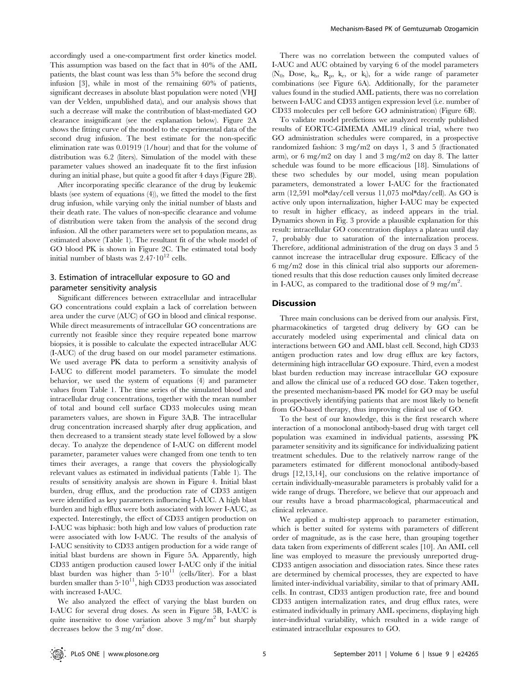accordingly used a one-compartment first order kinetics model. This assumption was based on the fact that in 40% of the AML patients, the blast count was less than 5% before the second drug infusion [3], while in most of the remaining 60% of patients, significant decreases in absolute blast population were noted (VHJ van der Velden, unpublished data), and our analysis shows that such a decrease will make the contribution of blast-mediated GO clearance insignificant (see the explanation below). Figure 2A shows the fitting curve of the model to the experimental data of the second drug infusion. The best estimate for the non-specific elimination rate was 0.01919 (1/hour) and that for the volume of distribution was 6.2 (liters). Simulation of the model with these parameter values showed an inadequate fit to the first infusion during an initial phase, but quite a good fit after 4 days (Figure 2B).

After incorporating specific clearance of the drug by leukemic blasts (see system of equations (4)), we fitted the model to the first drug infusion, while varying only the initial number of blasts and their death rate. The values of non-specific clearance and volume of distribution were taken from the analysis of the second drug infusion. All the other parameters were set to population means, as estimated above (Table 1). The resultant fit of the whole model of GO blood PK is shown in Figure 2C. The estimated total body initial number of blasts was  $2.47 \cdot 10^{12}$  cells.

# 3. Estimation of intracellular exposure to GO and parameter sensitivity analysis

Significant differences between extracellular and intracellular GO concentrations could explain a lack of correlation between area under the curve (AUC) of GO in blood and clinical response. While direct measurements of intracellular GO concentrations are currently not feasible since they require repeated bone marrow biopsies, it is possible to calculate the expected intracellular AUC (I-AUC) of the drug based on our model parameter estimations. We used average PK data to perform a sensitivity analysis of I-AUC to different model parameters. To simulate the model behavior, we used the system of equations (4) and parameter values from Table 1. The time series of the simulated blood and intracellular drug concentrations, together with the mean number of total and bound cell surface CD33 molecules using mean parameters values, are shown in Figure 3A,B. The intracellular drug concentration increased sharply after drug application, and then decreased to a transient steady state level followed by a slow decay. To analyze the dependence of I-AUC on different model parameter, parameter values were changed from one tenth to ten times their averages, a range that covers the physiologically relevant values as estimated in individual patients (Table 1). The results of sensitivity analysis are shown in Figure 4. Initial blast burden, drug efflux, and the production rate of CD33 antigen were identified as key parameters influencing I-AUC. A high blast burden and high efflux were both associated with lower I-AUC, as expected. Interestingly, the effect of CD33 antigen production on I-AUC was biphasic: both high and low values of production rate were associated with low I-AUC. The results of the analysis of I-AUC sensitivity to CD33 antigen production for a wide range of initial blast burdens are shown in Figure 5A. Apparently, high CD33 antigen production caused lower I-AUC only if the initial blast burden was higher than  $5.10^{11}$  (cells/liter). For a blast burden smaller than  $5.10^{11}$ , high CD33 production was associated with increased I-AUC.

We also analyzed the effect of varying the blast burden on I-AUC for several drug doses. As seen in Figure 5B, I-AUC is quite insensitive to dose variation above  $3 \text{ mg/m}^2$  but sharply decreases below the 3 mg/ $m^2$  dose.

There was no correlation between the computed values of I-AUC and AUC obtained by varying 6 of the model parameters  $(N_0, \text{ Does}, k_b, R_p, k_e, \text{ or } k_i)$ , for a wide range of parameter combinations (see Figure 6A). Additionally, for the parameter values found in the studied AML patients, there was no correlation between I-AUC and CD33 antigen expression level (i.e. number of CD33 molecules per cell before GO administration) (Figure 6B).

To validate model predictions we analyzed recently published results of EORTC-GIMEMA AML19 clinical trial, where two GO administration schedules were compared, in a prospective randomized fashion: 3 mg/m2 on days 1, 3 and 5 (fractionated arm), or 6 mg/m2 on day 1 and 3 mg/m2 on day 8. The latter schedule was found to be more efficacious [18]. Simulations of these two schedules by our model, using mean population parameters, demonstrated a lower I-AUC for the fractionated arm (12,591 mol\*day/cell versus 11,075 mol\*day/cell). As GO is active only upon internalization, higher I-AUC may be expected to result in higher efficacy, as indeed appears in the trial. Dynamics shown in Fig. 3 provide a plausible explanation for this result: intracellular GO concentration displays a plateau until day 7, probably due to saturation of the internalization process. Therefore, additional administration of the drug on days 3 and 5 cannot increase the intracellular drug exposure. Efficacy of the 6 mg/m2 dose in this clinical trial also supports our aforementioned results that this dose reduction causes only limited decrease in I-AUC, as compared to the traditional dose of 9 mg/m<sup>2</sup>.

## **Discussion**

Three main conclusions can be derived from our analysis. First, pharmacokinetics of targeted drug delivery by GO can be accurately modeled using experimental and clinical data on interactions between GO and AML blast cell. Second, high CD33 antigen production rates and low drug efflux are key factors, determining high intracellular GO exposure. Third, even a modest blast burden reduction may increase intracellular GO exposure and allow the clinical use of a reduced GO dose. Taken together, the presented mechanism-based PK model for GO may be useful in prospectively identifying patients that are most likely to benefit from GO-based therapy, thus improving clinical use of GO.

To the best of our knowledge, this is the first research where interaction of a monoclonal antibody-based drug with target cell population was examined in individual patients, assessing PK parameter sensitivity and its significance for individualizing patient treatment schedules. Due to the relatively narrow range of the parameters estimated for different monoclonal antibody-based drugs [12,13,14], our conclusions on the relative importance of certain individually-measurable parameters is probably valid for a wide range of drugs. Therefore, we believe that our approach and our results have a broad pharmacological, pharmaceutical and clinical relevance.

We applied a multi-step approach to parameter estimation, which is better suited for systems with parameters of different order of magnitude, as is the case here, than grouping together data taken from experiments of different scales [10]. An AML cell line was employed to measure the previously unreported drug-CD33 antigen association and dissociation rates. Since these rates are determined by chemical processes, they are expected to have limited inter-individual variability, similar to that of primary AML cells. In contrast, CD33 antigen production rate, free and bound CD33 antigen internalization rates, and drug efflux rates, were estimated individually in primary AML specimens, displaying high inter-individual variability, which resulted in a wide range of estimated intracellular exposures to GO.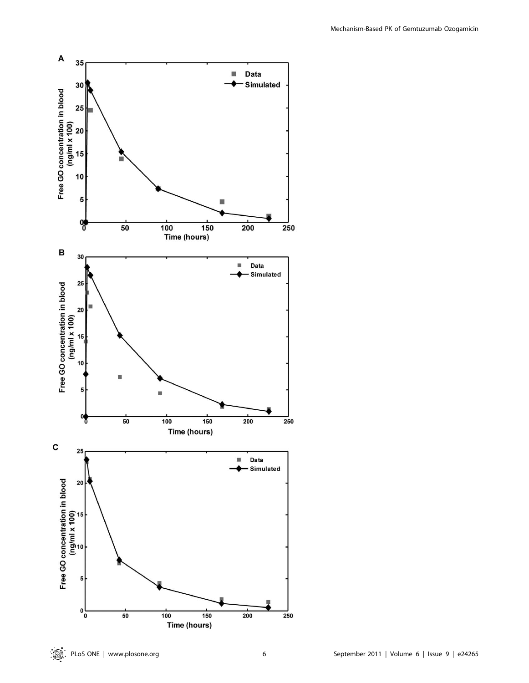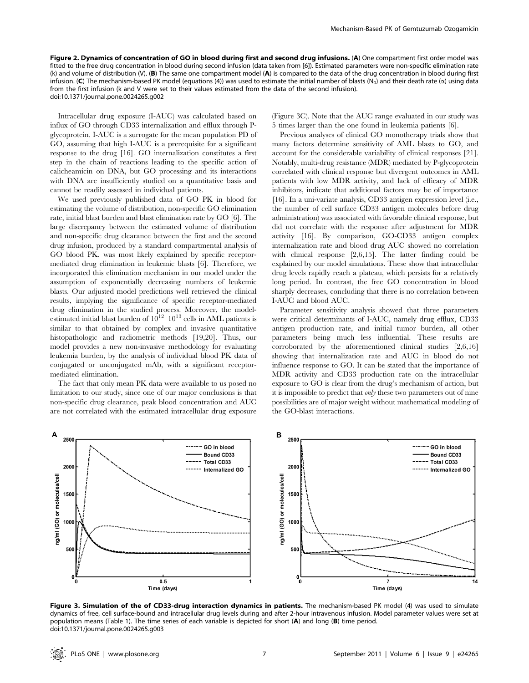Figure 2. Dynamics of concentration of GO in blood during first and second drug infusions. (A) One compartment first order model was fitted to the free drug concentration in blood during second infusion (data taken from [6]). Estimated parameters were non-specific elimination rate (k) and volume of distribution (V). (B) The same one compartment model (A) is compared to the data of the drug concentration in blood during first infusion. (C) The mechanism-based PK model (equations (4)) was used to estimate the initial number of blasts (N<sub>0</sub>) and their death rate ( $\alpha$ ) using data from the first infusion (k and V were set to their values estimated from the data of the second infusion). doi:10.1371/journal.pone.0024265.g002

Intracellular drug exposure (I-AUC) was calculated based on influx of GO through CD33 internalization and efflux through Pglycoprotein. I-AUC is a surrogate for the mean population PD of GO, assuming that high I-AUC is a prerequisite for a significant response to the drug [16]. GO internalization constitutes a first step in the chain of reactions leading to the specific action of calicheamicin on DNA, but GO processing and its interactions with DNA are insufficiently studied on a quantitative basis and cannot be readily assessed in individual patients.

We used previously published data of GO PK in blood for estimating the volume of distribution, non-specific GO elimination rate, initial blast burden and blast elimination rate by GO [6]. The large discrepancy between the estimated volume of distribution and non-specific drug clearance between the first and the second drug infusion, produced by a standard compartmental analysis of GO blood PK, was most likely explained by specific receptormediated drug elimination in leukemic blasts [6]. Therefore, we incorporated this elimination mechanism in our model under the assumption of exponentially decreasing numbers of leukemic blasts. Our adjusted model predictions well retrieved the clinical results, implying the significance of specific receptor-mediated drug elimination in the studied process. Moreover, the modelestimated initial blast burden of  $10^{12}$ – $10^{13}$  cells in AML patients is similar to that obtained by complex and invasive quantitative histopathologic and radiometric methods [19,20]. Thus, our model provides a new non-invasive methodology for evaluating leukemia burden, by the analysis of individual blood PK data of conjugated or unconjugated mAb, with a significant receptormediated elimination.

The fact that only mean PK data were available to us posed no limitation to our study, since one of our major conclusions is that non-specific drug clearance, peak blood concentration and AUC are not correlated with the estimated intracellular drug exposure

(Figure 3C). Note that the AUC range evaluated in our study was 5 times larger than the one found in leukemia patients [6].

Previous analyses of clinical GO monotherapy trials show that many factors determine sensitivity of AML blasts to GO, and account for the considerable variability of clinical responses [21]. Notably, multi-drug resistance (MDR) mediated by P-glycoprotein correlated with clinical response but divergent outcomes in AML patients with low MDR activity, and lack of efficacy of MDR inhibitors, indicate that additional factors may be of importance [16]. In a uni-variate analysis, CD33 antigen expression level (i.e., the number of cell surface CD33 antigen molecules before drug administration) was associated with favorable clinical response, but did not correlate with the response after adjustment for MDR activity [16]. By comparison, GO-CD33 antigen complex internalization rate and blood drug AUC showed no correlation with clinical response [2,6,15]. The latter finding could be explained by our model simulations. These show that intracellular drug levels rapidly reach a plateau, which persists for a relatively long period. In contrast, the free GO concentration in blood sharply decreases, concluding that there is no correlation between I-AUC and blood AUC.

Parameter sensitivity analysis showed that three parameters were critical determinants of I-AUC, namely drug efflux, CD33 antigen production rate, and initial tumor burden, all other parameters being much less influential. These results are corroborated by the aforementioned clinical studies [2,6,16] showing that internalization rate and AUC in blood do not influence response to GO. It can be stated that the importance of MDR activity and CD33 production rate on the intracellular exposure to GO is clear from the drug's mechanism of action, but it is impossible to predict that only these two parameters out of nine possibilities are of major weight without mathematical modeling of the GO-blast interactions.



Figure 3. Simulation of the of CD33-drug interaction dynamics in patients. The mechanism-based PK model (4) was used to simulate dynamics of free, cell surface-bound and intracellular drug levels during and after 2-hour intravenous infusion. Model parameter values were set at population means (Table 1). The time series of each variable is depicted for short (A) and long (B) time period. doi:10.1371/journal.pone.0024265.g003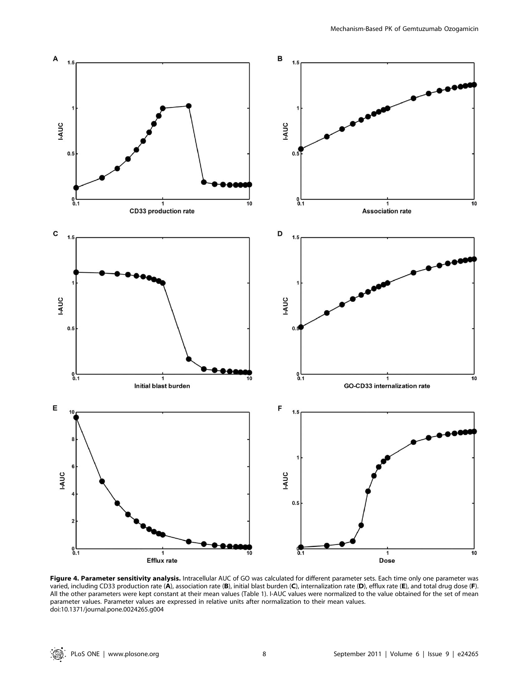

Figure 4. Parameter sensitivity analysis. Intracellular AUC of GO was calculated for different parameter sets. Each time only one parameter was varied, including CD33 production rate (A), association rate (B), initial blast burden (C), internalization rate (D), efflux rate (E), and total drug dose (F). All the other parameters were kept constant at their mean values (Table 1). I-AUC values were normalized to the value obtained for the set of mean parameter values. Parameter values are expressed in relative units after normalization to their mean values. doi:10.1371/journal.pone.0024265.g004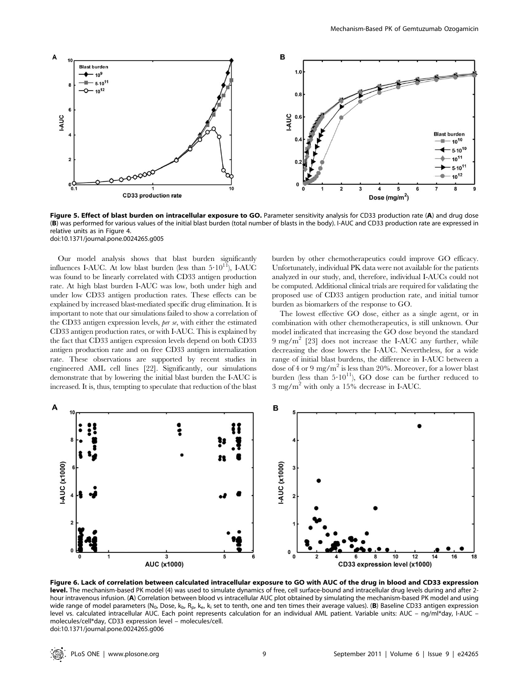

Figure 5. Effect of blast burden on intracellular exposure to GO. Parameter sensitivity analysis for CD33 production rate (A) and drug dose (B) was performed for various values of the initial blast burden (total number of blasts in the body). I-AUC and CD33 production rate are expressed in relative units as in Figure 4. doi:10.1371/journal.pone.0024265.g005

Our model analysis shows that blast burden significantly influences I-AUC. At low blast burden (less than  $5 \cdot 10^{11}$ ), I-AUC was found to be linearly correlated with CD33 antigen production rate. At high blast burden I-AUC was low, both under high and under low CD33 antigen production rates. These effects can be explained by increased blast-mediated specific drug elimination. It is important to note that our simulations failed to show a correlation of the CD33 antigen expression levels, per se, with either the estimated CD33 antigen production rates, or with I-AUC. This is explained by the fact that CD33 antigen expression levels depend on both CD33 antigen production rate and on free CD33 antigen internalization rate. These observations are supported by recent studies in engineered AML cell lines [22]. Significantly, our simulations demonstrate that by lowering the initial blast burden the I-AUC is increased. It is, thus, tempting to speculate that reduction of the blast

burden by other chemotherapeutics could improve GO efficacy. Unfortunately, individual PK data were not available for the patients analyzed in our study, and, therefore, individual I-AUCs could not be computed. Additional clinical trials are required for validating the proposed use of CD33 antigen production rate, and initial tumor burden as biomarkers of the response to GO.

The lowest effective GO dose, either as a single agent, or in combination with other chemotherapeutics, is still unknown. Our model indicated that increasing the GO dose beyond the standard  $9 \text{ mg/m}^2$  [23] does not increase the I-AUC any further, while decreasing the dose lowers the I-AUC. Nevertheless, for a wide range of initial blast burdens, the difference in I-AUC between a dose of 4 or 9 mg/m<sup>2</sup> is less than 20%. Moreover, for a lower blast burden (less than  $5.10^{11}$ ), GO dose can be further reduced to 3 mg/m<sup>2</sup> with only a 15% decrease in I-AUC.



Figure 6. Lack of correlation between calculated intracellular exposure to GO with AUC of the drug in blood and CD33 expression level. The mechanism-based PK model (4) was used to simulate dynamics of free, cell surface-bound and intracellular drug levels during and after 2hour intravenous infusion. (A) Correlation between blood vs intracellular AUC plot obtained by simulating the mechanism-based PK model and using wide range of model parameters (N<sub>0</sub>, Dose, k<sub>b</sub>, R<sub>p</sub>, k<sub>e</sub>, k<sub>i</sub> set to tenth, one and ten times their average values). (B) Baseline CD33 antigen expression level vs. calculated intracellular AUC. Each point represents calculation for an individual AML patient. Variable units: AUC – ng/ml\*day, I-AUC – molecules/cell\*day, CD33 expression level – molecules/cell. doi:10.1371/journal.pone.0024265.g006